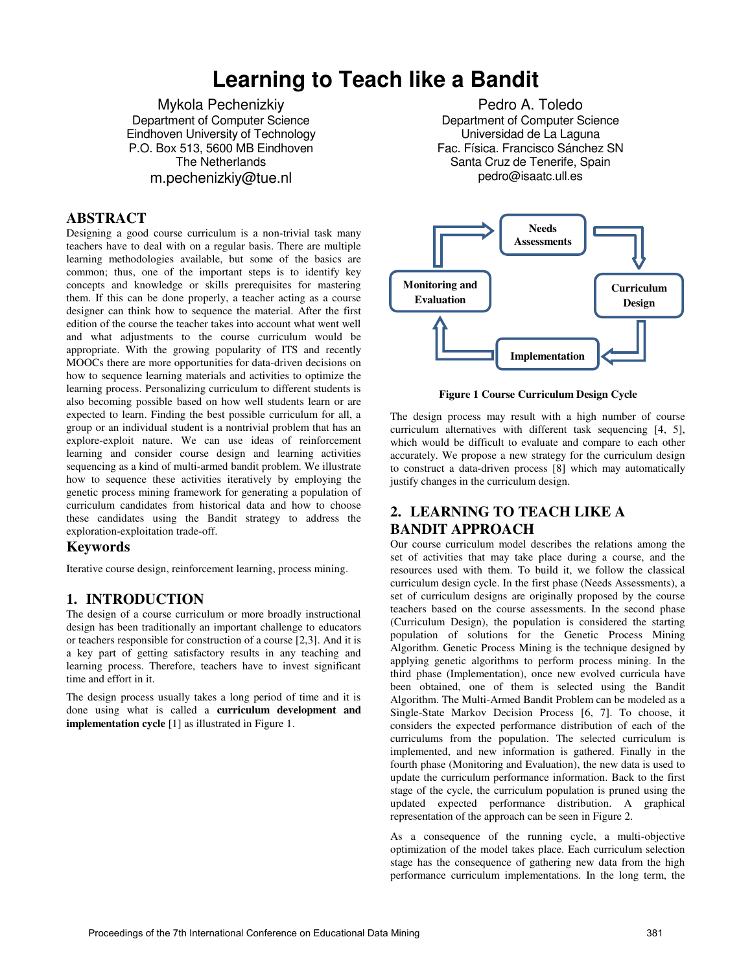# **Learning to Teach like a Bandit**

Mykola Pechenizkiy Department of Computer Science Eindhoven University of Technology P.O. Box 513, 5600 MB Eindhoven The Netherlands m.pechenizkiy@tue.nl

### **ABSTRACT**

Designing a good course curriculum is a non-trivial task many teachers have to deal with on a regular basis. There are multiple learning methodologies available, but some of the basics are common; thus, one of the important steps is to identify key concepts and knowledge or skills prerequisites for mastering them. If this can be done properly, a teacher acting as a course designer can think how to sequence the material. After the first edition of the course the teacher takes into account what went well and what adjustments to the course curriculum would be appropriate. With the growing popularity of ITS and recently MOOCs there are more opportunities for data-driven decisions on how to sequence learning materials and activities to optimize the learning process. Personalizing curriculum to different students is also becoming possible based on how well students learn or are expected to learn. Finding the best possible curriculum for all, a group or an individual student is a nontrivial problem that has an explore-exploit nature. We can use ideas of reinforcement learning and consider course design and learning activities sequencing as a kind of multi-armed bandit problem. We illustrate how to sequence these activities iteratively by employing the genetic process mining framework for generating a population of curriculum candidates from historical data and how to choose these candidates using the Bandit strategy to address the exploration-exploitation trade-off.

### **Keywords**

Iterative course design, reinforcement learning, process mining.

### **1. INTRODUCTION**

The design of a course curriculum or more broadly instructional design has been traditionally an important challenge to educators or teachers responsible for construction of a course [2,3]. And it is a key part of getting satisfactory results in any teaching and learning process. Therefore, teachers have to invest significant time and effort in it.

The design process usually takes a long period of time and it is done using what is called a **curriculum development and implementation cycle** [1] as illustrated in Figure 1.

Pedro A. Toledo Department of Computer Science Universidad de La Laguna Fac. Física. Francisco Sánchez SN Santa Cruz de Tenerife, Spain pedro@isaatc.ull.es



**Figure 1 Course Curriculum Design Cycle** 

The design process may result with a high number of course curriculum alternatives with different task sequencing [4, 5], which would be difficult to evaluate and compare to each other accurately. We propose a new strategy for the curriculum design to construct a data-driven process [8] which may automatically justify changes in the curriculum design.

## **2. LEARNING TO TEACH LIKE A BANDIT APPROACH**

Our course curriculum model describes the relations among the set of activities that may take place during a course, and the resources used with them. To build it, we follow the classical curriculum design cycle. In the first phase (Needs Assessments), a set of curriculum designs are originally proposed by the course teachers based on the course assessments. In the second phase (Curriculum Design), the population is considered the starting population of solutions for the Genetic Process Mining Algorithm. Genetic Process Mining is the technique designed by applying genetic algorithms to perform process mining. In the third phase (Implementation), once new evolved curricula have been obtained, one of them is selected using the Bandit Algorithm. The Multi-Armed Bandit Problem can be modeled as a Single-State Markov Decision Process [6, 7]. To choose, it considers the expected performance distribution of each of the curriculums from the population. The selected curriculum is implemented, and new information is gathered. Finally in the fourth phase (Monitoring and Evaluation), the new data is used to update the curriculum performance information. Back to the first stage of the cycle, the curriculum population is pruned using the updated expected performance distribution. A graphical representation of the approach can be seen in Figure 2.

As a consequence of the running cycle, a multi-objective optimization of the model takes place. Each curriculum selection stage has the consequence of gathering new data from the high performance curriculum implementations. In the long term, the